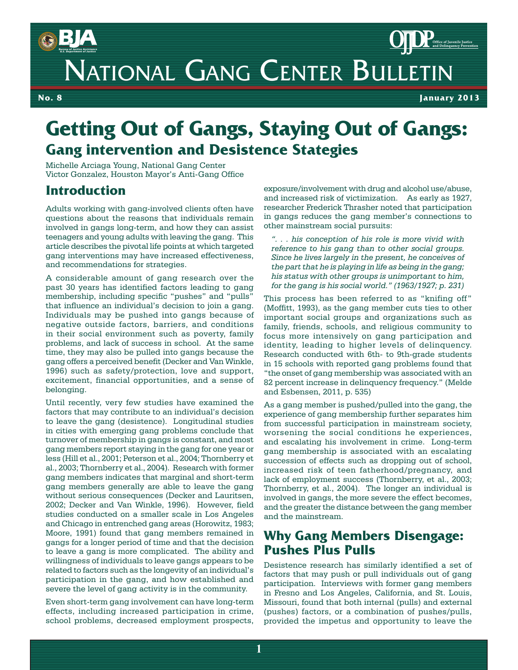

No. 1 **No. 8** February 2007 **January 2013**

# **Getting Out of Gangs, Staying Out of Gangs: Gang intervention and Desistence Stategies**

Michelle Arciaga Young, National Gang Center Victor Gonzalez, Houston Mayor's Anti-Gang Office

### **Introduction**

Adults working with gang-involved clients often have questions about the reasons that individuals remain involved in gangs long-term, and how they can assist teenagers and young adults with leaving the gang. This article describes the pivotal life points at which targeted gang interventions may have increased effectiveness, and recommendations for strategies.

A considerable amount of gang research over the past 30 years has identified factors leading to gang membership, including specific "pushes" and "pulls" that influence an individual's decision to join a gang. Individuals may be pushed into gangs because of negative outside factors, barriers, and conditions in their social environment such as poverty, family problems, and lack of success in school. At the same time, they may also be pulled into gangs because the gang offers a perceived benefit (Decker and Van Winkle, 1996) such as safety/protection, love and support, excitement, financial opportunities, and a sense of belonging.

Until recently, very few studies have examined the factors that may contribute to an individual's decision to leave the gang (desistence). Longitudinal studies in cities with emerging gang problems conclude that turnover of membership in gangs is constant, and most gang members report staying in the gang for one year or less (Hill et al., 2001; Peterson et al., 2004; Thornberry et al., 2003; Thornberry et al., 2004). Research with former gang members indicates that marginal and short-term gang members generally are able to leave the gang without serious consequences (Decker and Lauritsen, 2002; Decker and Van Winkle, 1996). However, field studies conducted on a smaller scale in Los Angeles and Chicago in entrenched gang areas (Horowitz, 1983; Moore, 1991) found that gang members remained in gangs for a longer period of time and that the decision to leave a gang is more complicated. The ability and willingness of individuals to leave gangs appears to be related to factors such as the longevity of an individual's participation in the gang, and how established and severe the level of gang activity is in the community.

Even short-term gang involvement can have long-term effects, including increased participation in crime, school problems, decreased employment prospects, exposure/involvement with drug and alcohol use/abuse, and increased risk of victimization. As early as 1927, researcher Frederick Thrasher noted that participation in gangs reduces the gang member's connections to other mainstream social pursuits:

*". . . his conception of his role is more vivid with reference to his gang than to other social groups. Since he lives largely in the present, he conceives of the part that he is playing in life as being in the gang; his status with other groups is unimportant to him, for the gang is his social world." (1963/1927; p. 231)*

This process has been referred to as "knifing off" (Moffitt, 1993), as the gang member cuts ties to other important social groups and organizations such as family, friends, schools, and religious community to focus more intensively on gang participation and identity, leading to higher levels of delinquency. Research conducted with 6th- to 9th-grade students in 15 schools with reported gang problems found that "the onset of gang membership was associated with an 82 percent increase in delinquency frequency." (Melde and Esbensen, 2011, p. 535)

As a gang member is pushed/pulled into the gang, the experience of gang membership further separates him from successful participation in mainstream society, worsening the social conditions he experiences, and escalating his involvement in crime. Long-term gang membership is associated with an escalating succession of effects such as dropping out of school, increased risk of teen fatherhood/pregnancy, and lack of employment success (Thornberry, et al., 2003; Thornberry, et al., 2004). The longer an individual is involved in gangs, the more severe the effect becomes, and the greater the distance between the gang member and the mainstream.

### **Why Gang Members Disengage: Pushes Plus Pulls**

Desistence research has similarly identified a set of factors that may push or pull individuals out of gang participation. Interviews with former gang members in Fresno and Los Angeles, California, and St. Louis, Missouri, found that both internal (pulls) and external (pushes) factors, or a combination of pushes/pulls, provided the impetus and opportunity to leave the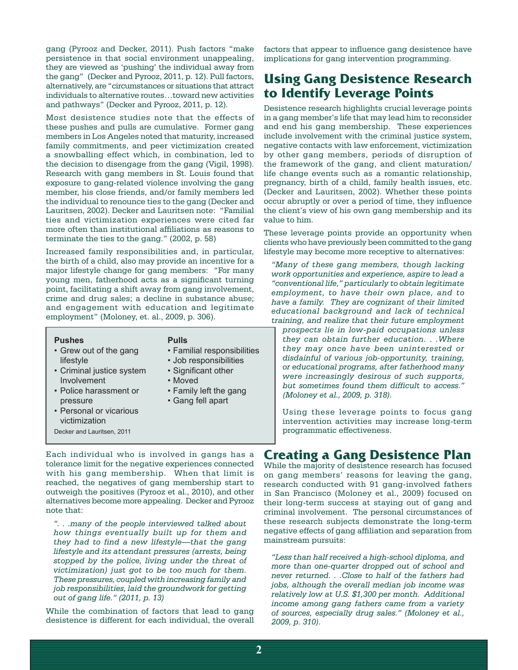gang (Pyrooz and Decker, 2011). Push factors "make persistence in that social environment unappealing, they are viewed as 'pushing' the individual away from the gang" (Decker and Pyrooz, 2011, p. 12). Pull factors, alternatively, are "circumstances or situations that attract individuals to alternative routes…toward new activities and pathways" (Decker and Pyrooz, 2011, p. 12).

Most desistence studies note that the effects of these pushes and pulls are cumulative. Former gang members in Los Angeles noted that maturity, increased family commitments, and peer victimization created a snowballing effect which, in combination, led to the decision to disengage from the gang (Vigil, 1998). Research with gang members in St. Louis found that exposure to gang-related violence involving the gang member, his close friends, and/or family members led the individual to renounce ties to the gang (Decker and Lauritsen, 2002). Decker and Lauritsen note: "Familial ties and victimization experiences were cited far more often than institutional affiliations as reasons to terminate the ties to the gang." (2002, p. 58)

Increased family responsibilities and, in particular, the birth of a child, also may provide an incentive for a major lifestyle change for gang members: "For many young men, fatherhood acts as a significant turning point, facilitating a shift away from gang involvement, crime and drug sales; a decline in substance abuse; and engagement with education and legitimate employment" (Moloney, et. al., 2009, p. 306).

#### **Pushes Pulls** • Grew out of the gang • Familial responsibilities lifestyle • Job responsibilities • Criminal justice system • Significant other Involvement • Moved • Police harassment or • Family left the gang pressure • Gang fell apart • Personal or vicarious victimization Decker and Lauritsen, 2011

Each individual who is involved in gangs has a tolerance limit for the negative experiences connected with his gang membership. When that limit is reached, the negatives of gang membership start to outweigh the positives (Pyrooz et al., 2010), and other alternatives become more appealing. Decker and Pyrooz note that:

*". . .many of the people interviewed talked about how things eventually built up for them and they had to find a new lifestyle—that the gang lifestyle and its attendant pressures (arrests, being stopped by the police, living under the threat of victimization) just got to be too much for them. These pressures, coupled with increasing family and job responsibilities, laid the groundwork for getting out of gang life." (2011, p. 13)*

While the combination of factors that lead to gang desistence is different for each individual, the overall factors that appear to influence gang desistence have implications for gang intervention programming.

## **Using Gang Desistence Research to Identify Leverage Points**

Desistence research highlights crucial leverage points in a gang member's life that may lead him to reconsider and end his gang membership. These experiences include involvement with the criminal justice system, negative contacts with law enforcement, victimization by other gang members, periods of disruption of the framework of the gang, and client maturation/ life change events such as a romantic relationship, pregnancy, birth of a child, family health issues, etc. (Decker and Lauritsen, 2002). Whether these points occur abruptly or over a period of time, they influence the client's view of his own gang membership and its value to him.

These leverage points provide an opportunity when clients who have previously been committed to the gang lifestyle may become more receptive to alternatives:

*"Many of these gang members, though lacking work opportunities and experience, aspire to lead a "conventional life," particularly to obtain legitimate employment, to have their own place, and to have a family. They are cognizant of their limited educational background and lack of technical training, and realize that their future employment* 

*prospects lie in low-paid occupations unless they can obtain further education. . .Where they may once have been uninterested or disdainful of various job-opportunity, training, or educational programs, after fatherhood many were increasingly desirous of such supports, but sometimes found them difficult to access." (Moloney et al., 2009, p. 318).*

Using these leverage points to focus gang intervention activities may increase long-term programmatic effectiveness.

## **Creating a Gang Desistence Plan**

While the majority of desistence research has focused on gang members' reasons for leaving the gang, research conducted with 91 gang-involved fathers in San Francisco (Moloney et al., 2009) focused on their long-term success at staying out of gang and criminal involvement. The personal circumstances of these research subjects demonstrate the long-term negative effects of gang affiliation and separation from mainstream pursuits:

*"Less than half received a high-school diploma, and more than one-quarter dropped out of school and never returned. . .Close to half of the fathers had jobs, although the overall median job income was relatively low at U.S. \$1,300 per month. Additional income among gang fathers came from a variety of sources, especially drug sales." (Moloney et al., 2009, p. 310).*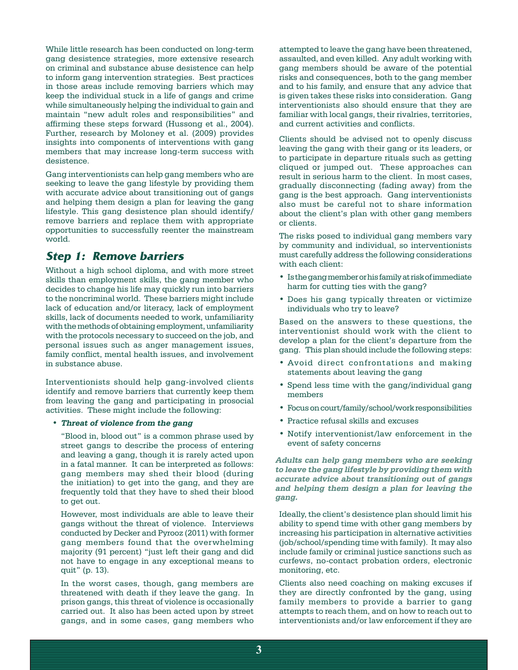While little research has been conducted on long-term gang desistence strategies, more extensive research on criminal and substance abuse desistence can help to inform gang intervention strategies. Best practices in those areas include removing barriers which may keep the individual stuck in a life of gangs and crime while simultaneously helping the individual to gain and maintain "new adult roles and responsibilities" and affirming these steps forward (Hussong et al., 2004). Further, research by Moloney et al. (2009) provides insights into components of interventions with gang members that may increase long-term success with desistence.

Gang interventionists can help gang members who are seeking to leave the gang lifestyle by providing them with accurate advice about transitioning out of gangs and helping them design a plan for leaving the gang lifestyle. This gang desistence plan should identify/ remove barriers and replace them with appropriate opportunities to successfully reenter the mainstream world.

### **Step 1: Remove barriers**

Without a high school diploma, and with more street skills than employment skills, the gang member who decides to change his life may quickly run into barriers to the noncriminal world. These barriers might include lack of education and/or literacy, lack of employment skills, lack of documents needed to work, unfamiliarity with the methods of obtaining employment, unfamiliarity with the protocols necessary to succeed on the job, and personal issues such as anger management issues, family conflict, mental health issues, and involvement in substance abuse.

Interventionists should help gang-involved clients identify and remove barriers that currently keep them from leaving the gang and participating in prosocial activities. These might include the following:

#### **• Threat of violence from the gang**

"Blood in, blood out" is a common phrase used by street gangs to describe the process of entering and leaving a gang, though it is rarely acted upon in a fatal manner. It can be interpreted as follows: gang members may shed their blood (during the initiation) to get into the gang, and they are frequently told that they have to shed their blood to get out.

However, most individuals are able to leave their gangs without the threat of violence. Interviews conducted by Decker and Pyrooz (2011) with former gang members found that the overwhelming majority (91 percent) "just left their gang and did not have to engage in any exceptional means to quit" (p. 13).

In the worst cases, though, gang members are threatened with death if they leave the gang. In prison gangs, this threat of violence is occasionally carried out. It also has been acted upon by street gangs, and in some cases, gang members who

attempted to leave the gang have been threatened, assaulted, and even killed. Any adult working with gang members should be aware of the potential risks and consequences, both to the gang member and to his family, and ensure that any advice that is given takes these risks into consideration. Gang interventionists also should ensure that they are familiar with local gangs, their rivalries, territories, and current activities and conflicts.

Clients should be advised not to openly discuss leaving the gang with their gang or its leaders, or to participate in departure rituals such as getting cliqued or jumped out. These approaches can result in serious harm to the client. In most cases, gradually disconnecting (fading away) from the gang is the best approach. Gang interventionists also must be careful not to share information about the client's plan with other gang members or clients.

The risks posed to individual gang members vary by community and individual, so interventionists must carefully address the following considerations with each client:

- Is the gang member or his family at risk of immediate harm for cutting ties with the gang?
- Does his gang typically threaten or victimize individuals who try to leave?

Based on the answers to these questions, the interventionist should work with the client to develop a plan for the client's departure from the gang. This plan should include the following steps:

- • Avoid direct confrontations and making statements about leaving the gang
- • Spend less time with the gang/individual gang members
- • Focus oncourt/family/school/work responsibilities
- • Practice refusal skills and excuses
- • Notify interventionist/law enforcement in the event of safety concerns

**Adults can help gang members who are seeking to leave the gang lifestyle by providing them with accurate advice about transitioning out of gangs and helping them design <sup>a</sup> plan for leaving the gang.**

Ideally, the client's desistence plan should limit his ability to spend time with other gang members by increasing his participation in alternative activities (job/school/spending time with family). It may also include family or criminal justice sanctions such as curfews, no-contact probation orders, electronic monitoring, etc.

Clients also need coaching on making excuses if they are directly confronted by the gang, using family members to provide a barrier to gang attempts to reach them, and on how to reach out to interventionists and/or law enforcement if they are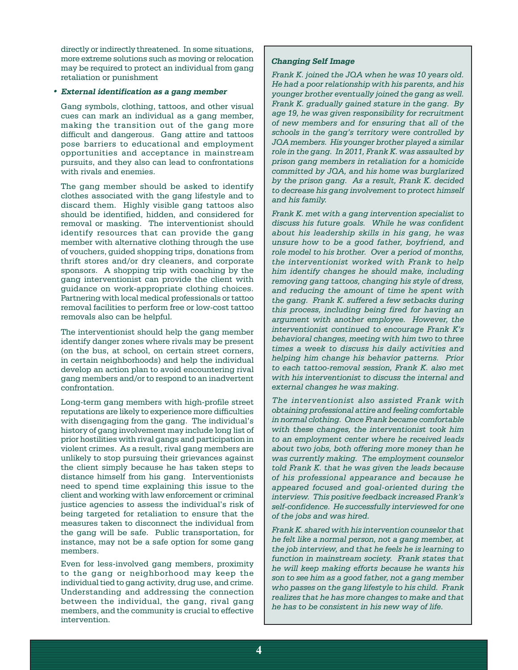directly or indirectly threatened. In some situations, more extreme solutions such as moving or relocation may be required to protect an individual from gang retaliation or punishment

#### **• External identification as <sup>a</sup> gang member**

Gang symbols, clothing, tattoos, and other visual cues can mark an individual as a gang member, making the transition out of the gang more difficult and dangerous. Gang attire and tattoos pose barriers to educational and employment opportunities and acceptance in mainstream pursuits, and they also can lead to confrontations with rivals and enemies.

The gang member should be asked to identify clothes associated with the gang lifestyle and to discard them. Highly visible gang tattoos also should be identified, hidden, and considered for removal or masking. The interventionist should identify resources that can provide the gang member with alternative clothing through the use of vouchers, guided shopping trips, donations from thrift stores and/or dry cleaners, and corporate sponsors. A shopping trip with coaching by the gang interventionist can provide the client with guidance on work-appropriate clothing choices. Partnering with local medical professionals or tattoo removal facilities to perform free or low-cost tattoo removals also can be helpful.

The interventionist should help the gang member identify danger zones where rivals may be present (on the bus, at school, on certain street corners, in certain neighborhoods) and help the individual develop an action plan to avoid encountering rival gang members and/or to respond to an inadvertent confrontation.

Long-term gang members with high-profile street reputations are likely to experience more difficulties with disengaging from the gang. The individual's history of gang involvement may include long list of prior hostilities with rival gangs and participation in violent crimes. As a result, rival gang members are unlikely to stop pursuing their grievances against the client simply because he has taken steps to distance himself from his gang. Interventionists need to spend time explaining this issue to the client and working with law enforcement or criminal justice agencies to assess the individual's risk of being targeted for retaliation to ensure that the measures taken to disconnect the individual from the gang will be safe. Public transportation, for instance, may not be a safe option for some gang members.

Even for less-involved gang members, proximity to the gang or neighborhood may keep the individual tied to gang activity, drug use, and crime. Understanding and addressing the connection between the individual, the gang, rival gang members, and the community is crucial to effective intervention.

#### **Changing Self Image**

*Frank K. joined the JQA when he was 10 years old. He had a poor relationship with his parents, and his younger brother eventually joined the gang as well. Frank K. gradually gained stature in the gang. By age 19, he was given responsibility for recruitment of new members and for ensuring that all of the schools in the gang's territory were controlled by JQA members. His younger brother played a similar role in the gang. In 2011, Frank K. was assaulted by prison gang members in retaliation for a homicide committed by JQA, and his home was burglarized by the prison gang. As a result, Frank K. decided to decrease his gang involvement to protect himself and his family.* 

*Frank K. met with a gang intervention specialist to discuss his future goals. While he was confident about his leadership skills in his gang, he was unsure how to be a good father, boyfriend, and role model to his brother. Over a period of months, the interventionist worked with Frank to help him identify changes he should make, including removing gang tattoos, changing his style of dress, and reducing the amount of time he spent with the gang. Frank K. suffered a few setbacks during this process, including being fired for having an argument with another employee. However, the interventionist continued to encourage Frank K's behavioral changes, meeting with him two to three times a week to discuss his daily activities and helping him change his behavior patterns. Prior to each tattoo-removal session, Frank K. also met with his interventionist to discuss the internal and external changes he was making.*

*The interventionist also assisted Frank with obtaining professional attire and feeling comfortable in normal clothing. Once Frank became comfortable with these changes, the interventionist took him to an employment center where he received leads about two jobs, both offering more money than he was currently making. The employment counselor told Frank K. that he was given the leads because of his professional appearance and because he appeared focused and goal-oriented during the interview. This positive feedback increased Frank's self-confidence. He successfully interviewed for one of the jobs and was hired.* 

*Frank K. shared with his intervention counselor that he felt like a normal person, not a gang member, at the job interview, and that he feels he is learning to function in mainstream society. Frank states that he will keep making efforts because he wants his son to see him as a good father, not a gang member who passes on the gang lifestyle to his child. Frank realizes that he has more changes to make and that he has to be consistent in his new way of life.*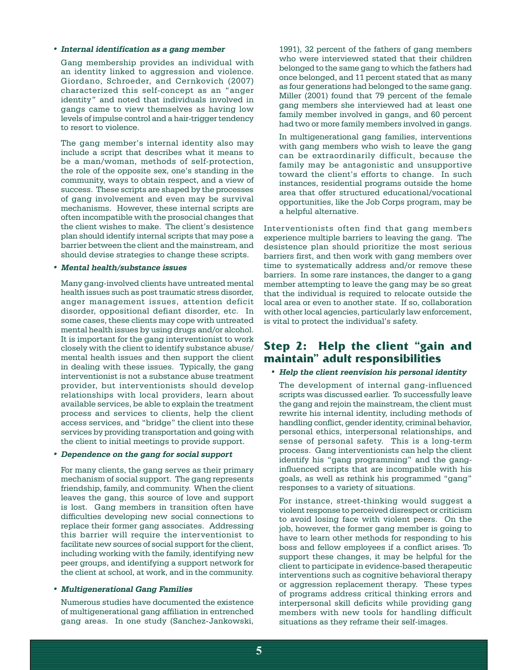#### **• Internal identification as <sup>a</sup> gang member**

Gang membership provides an individual with an identity linked to aggression and violence. Giordano, Schroeder, and Cernkovich (2007) characterized this self-concept as an "anger identity" and noted that individuals involved in gangs came to view themselves as having low levels of impulse control and a hair-trigger tendency to resort to violence.

The gang member's internal identity also may include a script that describes what it means to be a man/woman, methods of self-protection, the role of the opposite sex, one's standing in the community, ways to obtain respect, and a view of success. These scripts are shaped by the processes of gang involvement and even may be survival mechanisms. However, these internal scripts are often incompatible with the prosocial changes that the client wishes to make. The client's desistence plan should identify internal scripts that may pose a barrier between the client and the mainstream, and should devise strategies to change these scripts.

#### **• Mental health/substance issues**

Many gang-involved clients have untreated mental health issues such as post traumatic stress disorder, anger management issues, attention deficit disorder, oppositional defiant disorder, etc. In some cases, these clients may cope with untreated mental health issues by using drugs and/or alcohol. It is important for the gang interventionist to work closely with the client to identify substance abuse/ mental health issues and then support the client in dealing with these issues. Typically, the gang interventionist is not a substance abuse treatment provider, but interventionists should develop relationships with local providers, learn about available services, be able to explain the treatment process and services to clients, help the client access services, and "bridge" the client into these services by providing transportation and going with the client to initial meetings to provide support.

#### **• Dependence on the gang for social support**

For many clients, the gang serves as their primary mechanism of social support. The gang represents friendship, family, and community. When the client leaves the gang, this source of love and support is lost. Gang members in transition often have difficulties developing new social connections to replace their former gang associates. Addressing this barrier will require the interventionist to facilitate new sources of social support for the client, including working with the family, identifying new peer groups, and identifying a support network for the client at school, at work, and in the community.

#### **• Multigenerational Gang Families**

Numerous studies have documented the existence of multigenerational gang affiliation in entrenched gang areas. In one study (Sanchez-Jankowski, 1991), 32 percent of the fathers of gang members who were interviewed stated that their children belonged to the same gang to which the fathers had once belonged, and 11 percent stated that as many as four generations had belonged to the same gang. Miller (2001) found that 79 percent of the female gang members she interviewed had at least one family member involved in gangs, and 60 percent had two or more family members involved in gangs.

In multigenerational gang families, interventions with gang members who wish to leave the gang can be extraordinarily difficult, because the family may be antagonistic and unsupportive toward the client's efforts to change. In such instances, residential programs outside the home area that offer structured educational/vocational opportunities, like the Job Corps program, may be a helpful alternative.

Interventionists often find that gang members experience multiple barriers to leaving the gang. The desistence plan should prioritize the most serious barriers first, and then work with gang members over time to systematically address and/or remove these barriers. In some rare instances, the danger to a gang member attempting to leave the gang may be so great that the individual is required to relocate outside the local area or even to another state. If so, collaboration with other local agencies, particularly law enforcement, is vital to protect the individual's safety.

### **Step 2: Help the client "gain and maintain" adult responsibilities**

#### • **Help the client reenvision his personal identity**

The development of internal gang-influenced scripts was discussed earlier. To successfully leave the gang and rejoin the mainstream, the client must rewrite his internal identity, including methods of handling conflict, gender identity, criminal behavior, personal ethics, interpersonal relationships, and sense of personal safety. This is a long-term process. Gang interventionists can help the client identify his "gang programming" and the ganginfluenced scripts that are incompatible with his goals, as well as rethink his programmed "gang" responses to a variety of situations.

For instance, street-thinking would suggest a violent response to perceived disrespect or criticism to avoid losing face with violent peers. On the job, however, the former gang member is going to have to learn other methods for responding to his boss and fellow employees if a conflict arises. To support these changes, it may be helpful for the client to participate in evidence-based therapeutic interventions such as cognitive behavioral therapy or aggression replacement therapy. These types of programs address critical thinking errors and interpersonal skill deficits while providing gang members with new tools for handling difficult situations as they reframe their self-images.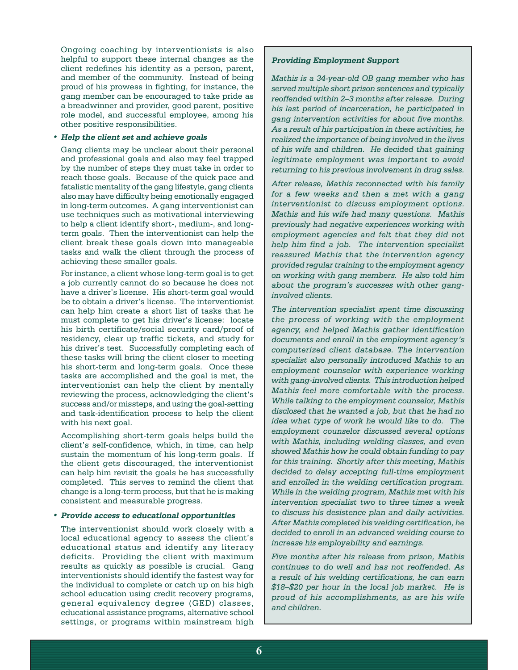Ongoing coaching by interventionists is also helpful to support these internal changes as the client redefines his identity as a person, parent, and member of the community. Instead of being proud of his prowess in fighting, for instance, the gang member can be encouraged to take pride as a breadwinner and provider, good parent, positive role model, and successful employee, among his other positive responsibilities.

#### **• Help the client set and achieve goals**

Gang clients may be unclear about their personal and professional goals and also may feel trapped by the number of steps they must take in order to reach those goals. Because of the quick pace and fatalistic mentality of the gang lifestyle, gang clients also may have difficulty being emotionally engaged in long-term outcomes. A gang interventionist can use techniques such as motivational interviewing to help a client identify short-, medium-, and longterm goals. Then the interventionist can help the client break these goals down into manageable tasks and walk the client through the process of achieving these smaller goals.

For instance, a client whose long-term goal is to get a job currently cannot do so because he does not have a driver's license. His short-term goal would be to obtain a driver's license. The interventionist can help him create a short list of tasks that he must complete to get his driver's license: locate his birth certificate/social security card/proof of residency, clear up traffic tickets, and study for his driver's test. Successfully completing each of these tasks will bring the client closer to meeting his short-term and long-term goals. Once these tasks are accomplished and the goal is met, the interventionist can help the client by mentally reviewing the process, acknowledging the client's success and/or missteps, and using the goal-setting and task-identification process to help the client with his next goal.

Accomplishing short-term goals helps build the client's self-confidence, which, in time, can help sustain the momentum of his long-term goals. If the client gets discouraged, the interventionist can help him revisit the goals he has successfully completed. This serves to remind the client that change is a long-term process, but that he is making consistent and measurable progress.

#### **• Provide access to educational opportunities**

The interventionist should work closely with a local educational agency to assess the client's educational status and identify any literacy deficits. Providing the client with maximum results as quickly as possible is crucial. Gang interventionists should identify the fastest way for the individual to complete or catch up on his high school education using credit recovery programs, general equivalency degree (GED) classes, educational assistance programs, alternative school settings, or programs within mainstream high

#### **Providing Employment Support**

*Mathis is a 34-year-old OB gang member who has served multiple short prison sentences and typically reoffended within 2–3 months after release. During his last period of incarceration, he participated in gang intervention activities for about five months. As a result of his participation in these activities, he realized the importance of being involved in the lives of his wife and children. He decided that gaining legitimate employment was important to avoid returning to his previous involvement in drug sales.*

*After release, Mathis reconnected with his family for a few weeks and then a met with a gang interventionist to discuss employment options. Mathis and his wife had many questions. Mathis previously had negative experiences working with employment agencies and felt that they did not help him find a job. The intervention specialist reassured Mathis that the intervention agency provided regular training to the employment agency on working with gang members. He also told him about the program's successes with other ganginvolved clients.*

*The intervention specialist spent time discussing the process of working with the employment agency, and helped Mathis gather identification documents and enroll in the employment agency's computerized client database. The intervention specialist also personally introduced Mathis to an employment counselor with experience working with gang-involved clients. This introduction helped Mathis feel more comfortable with the process. While talking to the employment counselor, Mathis disclosed that he wanted a job, but that he had no idea what type of work he would like to do. The employment counselor discussed several options with Mathis, including welding classes, and even showed Mathis how he could obtain funding to pay for this training. Shortly after this meeting, Mathis decided to delay accepting full-time employment and enrolled in the welding certification program. While in the welding program, Mathis met with his intervention specialist two to three times a week to discuss his desistence plan and daily activities. After Mathis completed his welding certification, he decided to enroll in an advanced welding course to increase his employability and earnings.* 

*Five months after his release from prison, Mathis continues to do well and has not reoffended. As a result of his welding certifications, he can earn \$18–\$20 per hour in the local job market. He is proud of his accomplishments, as are his wife and children.*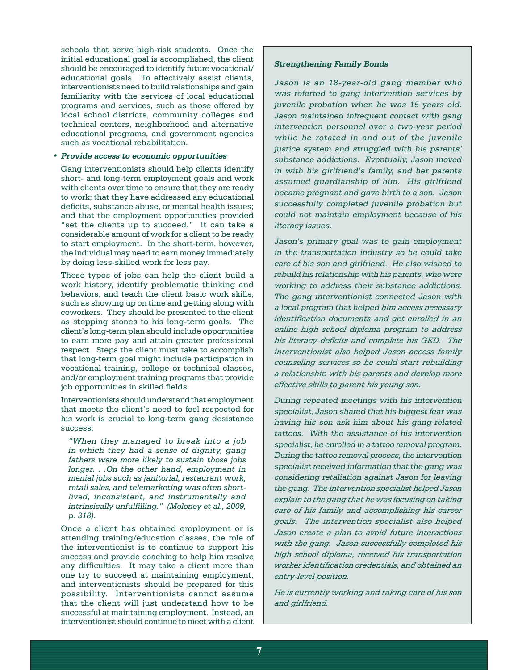schools that serve high-risk students. Once the initial educational goal is accomplished, the client should be encouraged to identify future vocational/ educational goals. To effectively assist clients, interventionists need to build relationships and gain familiarity with the services of local educational programs and services, such as those offered by local school districts, community colleges and technical centers, neighborhood and alternative educational programs, and government agencies such as vocational rehabilitation.

#### **• Provide access to economic opportunities**

Gang interventionists should help clients identify short- and long-term employment goals and work with clients over time to ensure that they are ready to work; that they have addressed any educational deficits, substance abuse, or mental health issues; and that the employment opportunities provided "set the clients up to succeed." It can take a considerable amount of work for a client to be ready to start employment. In the short-term, however, the individual may need to earn money immediately by doing less-skilled work for less pay.

These types of jobs can help the client build a work history, identify problematic thinking and behaviors, and teach the client basic work skills, such as showing up on time and getting along with coworkers. They should be presented to the client as stepping stones to his long-term goals. The client's long-term plan should include opportunities to earn more pay and attain greater professional respect. Steps the client must take to accomplish that long-term goal might include participation in vocational training, college or technical classes, and/or employment training programs that provide job opportunities in skilled fields.

Interventionists should understand that employment that meets the client's need to feel respected for his work is crucial to long-term gang desistance success:

*"When they managed to break into a job in which they had a sense of dignity, gang fathers were more likely to sustain those jobs longer. . .On the other hand, employment in menial jobs such as janitorial, restaurant work, retail sales, and telemarketing was often shortlived, inconsistent, and instrumentally and intrinsically unfulfilling." (Moloney et al., 2009, p. 318).*

Once a client has obtained employment or is attending training/education classes, the role of the interventionist is to continue to support his success and provide coaching to help him resolve any difficulties. It may take a client more than one try to succeed at maintaining employment, and interventionists should be prepared for this possibility. Interventionists cannot assume that the client will just understand how to be successful at maintaining employment. Instead, an interventionist should continue to meet with a client

#### **Strengthening Family Bonds**

Jason is an 18-year-old gang member who was referred to gang intervention services by juvenile probation when he was 15 years old. Jason maintained infrequent contact with gang intervention personnel over a two-year period while he rotated in and out of the juvenile justice system and struggled with his parents' substance addictions. Eventually, Jason moved in with his girlfriend's family, and her parents assumed guardianship of him. His girlfriend became pregnant and gave birth to a son. Jason successfully completed juvenile probation but could not maintain employment because of his literacy issues.

Jason's primary goal was to gain employment in the transportation industry so he could take care of his son and girlfriend. He also wished to rebuild his relationship with his parents, who were working to address their substance addictions. The gang interventionist connected Jason with a local program that helped *him access necessary identification documents and get enrolled in an online high school diploma program to address his literacy deficits and complete his GED. The interventionist also helped Jason access family counseling services so he could start rebuilding a relationship with his parents and develop more effective skills to parent his young son.*

During repeated meetings with his intervention specialist, Jason shared that his biggest fear was having his son ask him about his gang-related tattoos. With the assistance of his intervention specialist, he enrolled in a tattoo removal program. During the tattoo removal process, the intervention specialist received information that the gang was considering retaliation against Jason for leaving the gang. The *intervention specialist helped Jason explain to the gang that he was focusing on taking care of his family and accomplishing his career goals. The intervention specialist also helped Jason create a plan to avoid future interactions with the gang. Jason successfully completed his high school diploma, received his transportation worker identification credentials, and obtained an entry-level position.* 

*He is currently working and taking care of his son and girlfriend.*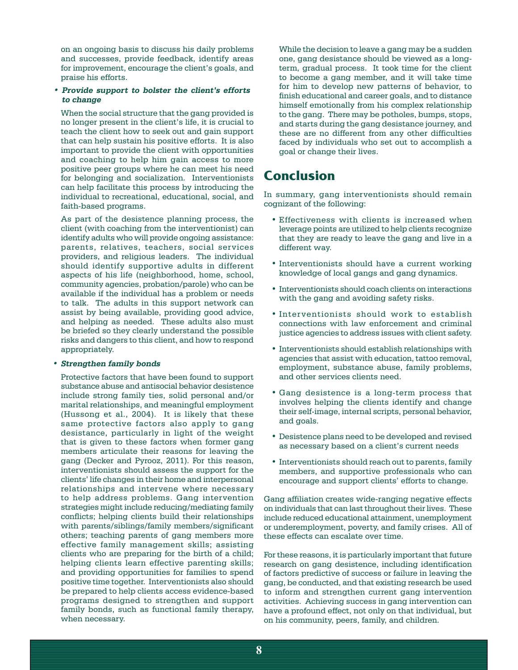on an ongoing basis to discuss his daily problems and successes, provide feedback, identify areas for improvement, encourage the client's goals, and praise his efforts.

#### **• Provide support to bolster the client's efforts to change**

When the social structure that the gang provided is no longer present in the client's life, it is crucial to teach the client how to seek out and gain support that can help sustain his positive efforts. It is also important to provide the client with opportunities and coaching to help him gain access to more positive peer groups where he can meet his need for belonging and socialization. Interventionists can help facilitate this process by introducing the individual to recreational, educational, social, and faith-based programs.

As part of the desistence planning process, the client (with coaching from the interventionist) can identify adults who will provide ongoing assistance: parents, relatives, teachers, social services providers, and religious leaders. The individual should identify supportive adults in different aspects of his life (neighborhood, home, school, community agencies, probation/parole) who can be available if the individual has a problem or needs to talk. The adults in this support network can assist by being available, providing good advice, and helping as needed. These adults also must be briefed so they clearly understand the possible risks and dangers to this client, and how to respond appropriately.

#### **• Strengthen family bonds**

Protective factors that have been found to support substance abuse and antisocial behavior desistence include strong family ties, solid personal and/or marital relationships, and meaningful employment (Hussong et al., 2004). It is likely that these same protective factors also apply to gang desistance, particularly in light of the weight that is given to these factors when former gang members articulate their reasons for leaving the gang (Decker and Pyrooz, 2011). For this reason, interventionists should assess the support for the clients' life changes in their home and interpersonal relationships and intervene where necessary to help address problems. Gang intervention strategies might include reducing/mediating family conflicts; helping clients build their relationships with parents/siblings/family members/significant others; teaching parents of gang members more effective family management skills; assisting clients who are preparing for the birth of a child; helping clients learn effective parenting skills; and providing opportunities for families to spend positive time together. Interventionists also should be prepared to help clients access evidence-based programs designed to strengthen and support family bonds, such as functional family therapy, when necessary.

While the decision to leave a gang may be a sudden one, gang desistance should be viewed as a longterm, gradual process. It took time for the client to become a gang member, and it will take time for him to develop new patterns of behavior, to finish educational and career goals, and to distance himself emotionally from his complex relationship to the gang. There may be potholes, bumps, stops, and starts during the gang desistance journey, and these are no different from any other difficulties faced by individuals who set out to accomplish a goal or change their lives.

## **Conclusion**

In summary, gang interventionists should remain cognizant of the following:

- • Effectiveness with clients is increased when leverage points are utilized to help clients recognize that they are ready to leave the gang and live in a different way.
- Interventionists should have a current working knowledge of local gangs and gang dynamics.
- • Interventionists should coach clients on interactions with the gang and avoiding safety risks.
- Interventionists should work to establish connections with law enforcement and criminal justice agencies to address issues with client safety.
- • Interventionists should establish relationships with agencies that assist with education, tattoo removal, employment, substance abuse, family problems, and other services clients need.
- • Gang desistence is a long-term process that involves helping the clients identify and change their self-image, internal scripts, personal behavior, and goals.
- • Desistence plans need to be developed and revised as necessary based on a client's current needs
- Interventionists should reach out to parents, family members, and supportive professionals who can encourage and support clients' efforts to change.

Gang affiliation creates wide-ranging negative effects on individuals that can last throughout their lives. These include reduced educational attainment, unemployment or underemployment, poverty, and family crises. All of these effects can escalate over time.

For these reasons, it is particularly important that future research on gang desistence, including identification of factors predictive of success or failure in leaving the gang, be conducted, and that existing research be used to inform and strengthen current gang intervention activities. Achieving success in gang intervention can have a profound effect, not only on that individual, but on his community, peers, family, and children.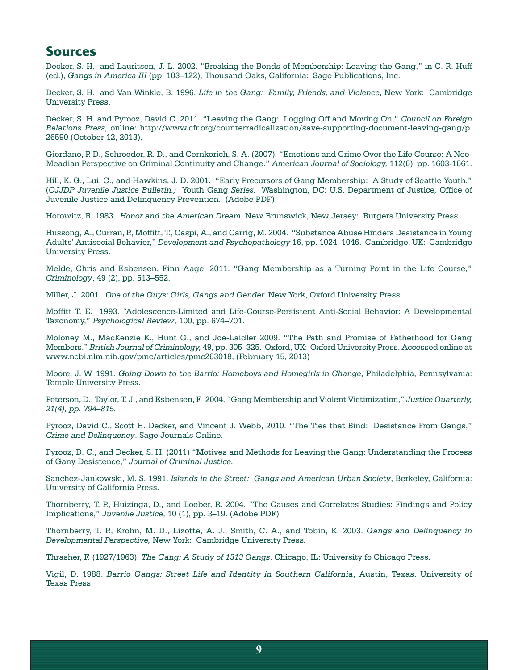### **Sources**

Decker, S. H., and Lauritsen, J. L. 2002. "Breaking the Bonds of Membership: Leaving the Gang," in C. R. Huff (ed.), *Gangs in America III* (pp. 103–122), Thousand Oaks, California: Sage Publications, Inc.

Decker, S. H., and Van Winkle, B. 1996. *Life in the Gang: Family, Friends, and Violence*, New York: Cambridge University Press.

Decker, S. H. and Pyrooz, David C. 2011. "Leaving the Gang: Logging Off and Moving On," *Council on Foreign Relations Press*, online: http://www.cfr.org/counterradicalization/save-supporting-document-leaving-gang/p. 26590 (October 12, 2013).

Giordano, P. D., Schroeder, R. D., and Cernkorich, S. A. (2007). "Emotions and Crime Over the Life Course: A Neo-Meadian Perspective on Criminal Continuity and Change." *American Journal of Sociology,* 112(6): pp. 1603-1661.

Hill, K. G., Lui, C., and Hawkins, J. D. 2001. "Early Precursors of Gang Membership: A Study of Seattle Youth." (*OJJDP Juvenile Justice Bulletin.)* Youth Gang *Series.* Washington, DC: U.S. Department of Justice*,* Office of Juvenile Justice and Delinquency Prevention. (Adobe PDF)

Horowitz, R. 1983. *Honor and the American Dream*, New Brunswick, New Jersey: Rutgers University Press.

Hussong, A., Curran, P., Moffitt, T., Caspi, A., and Carrig, M. 2004. "Substance Abuse Hinders Desistance in Young Adults' Antisocial Behavior," *Development and Psychopathology* 16, pp. 1024–1046. Cambridge, UK: Cambridge University Press.

Melde, Chris and Esbensen, Finn Aage, 2011. "Gang Membership as a Turning Point in the Life Course," *Criminology*, 49 (2), pp. 513–552.

Miller, J. 2001. *One of the Guys: Girls, Gangs and Gender.* New York, Oxford University Press.

Moffitt T. E. 1993. "Adolescence-Limited and Life-Course-Persistent Anti-Social Behavior: A Developmental Taxonomy," *Psychological Review*, 100, pp. 674–701.

Moloney M., MacKenzie K., Hunt G., and Joe-Laidler 2009. "The Path and Promise of Fatherhood for Gang Members." *British Journal of Criminology,* 49, pp. 305–325. Oxford, UK: Oxford University Press. Accessed online at www.ncbi.nlm.nih.gov/pmc/articles/pmc263018, (February 15, 2013)

Moore, J. W. 1991. *Going Down to the Barrio: Homeboys and Homegirls in Change*, Philadelphia, Pennsylvania: Temple University Press.

Peterson, D., Taylor, T. J., and Esbensen, F. 2004. "Gang Membership and Violent Victimization," *Justice Quarterly, 21(4), pp. 794–815.*

Pyrooz, David C., Scott H. Decker, and Vincent J. Webb, 2010. "The Ties that Bind: Desistance From Gangs," *Crime and Delinquency*. Sage Journals Online.

Pyrooz, D. C., and Decker, S. H. (2011) "Motives and Methods for Leaving the Gang: Understanding the Process of Gany Desistence," *Journal of Criminal Justice.*

Sanchez-Jankowski, M. S. 1991. *Islands in the Street: Gangs and American Urban Society*, Berkeley, California: University of California Press.

Thornberry, T. P., Huizinga, D., and Loeber, R. 2004. "The Causes and Correlates Studies: Findings and Policy Implications," *Juvenile Justice*, 10 (1), pp. 3–19. (Adobe PDF)

Thornberry, T. P., Krohn, M. D., Lizotte, A. J., Smith, C. A., and Tobin, K. 2003. *Gangs and Delinquency in Developmental Perspective,* New York: Cambridge University Press*.*

Thrasher, F. (1927/1963). *The Gang: A Study of 1313 Gangs*. Chicago, IL: University fo Chicago Press.

Vigil, D. 1988. *Barrio Gangs: Street Life and Identity in Southern California*, Austin, Texas. University of Texas Press.